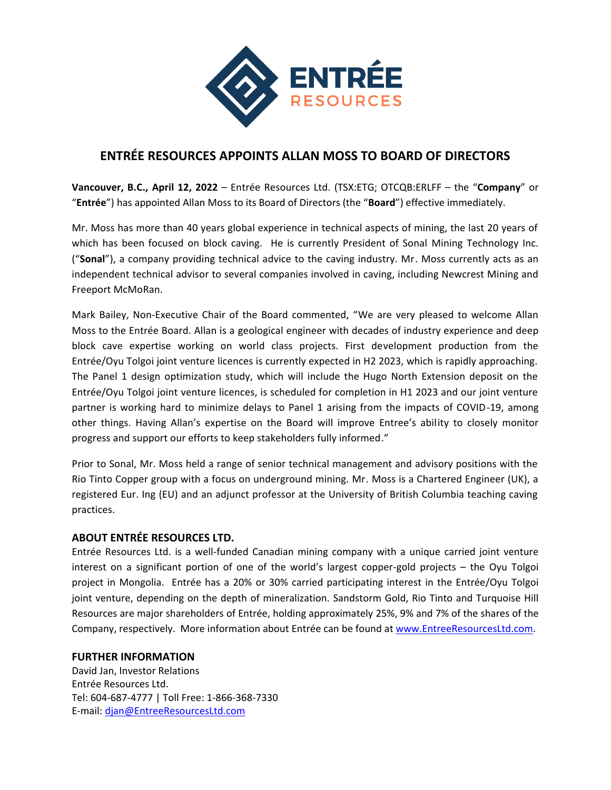

## **ENTRÉE RESOURCES APPOINTS ALLAN MOSS TO BOARD OF DIRECTORS**

**Vancouver, B.C., April 12, 2022** – Entrée Resources Ltd. (TSX:ETG; OTCQB:ERLFF – the "**Company**" or "**Entrée**") has appointed Allan Moss to its Board of Directors (the "**Board**") effective immediately.

Mr. Moss has more than 40 years global experience in technical aspects of mining, the last 20 years of which has been focused on block caving. He is currently President of Sonal Mining Technology Inc. ("**Sonal**"), a company providing technical advice to the caving industry. Mr. Moss currently acts as an independent technical advisor to several companies involved in caving, including Newcrest Mining and Freeport McMoRan.

Mark Bailey, Non-Executive Chair of the Board commented, "We are very pleased to welcome Allan Moss to the Entrée Board. Allan is a geological engineer with decades of industry experience and deep block cave expertise working on world class projects. First development production from the Entrée/Oyu Tolgoi joint venture licences is currently expected in H2 2023, which is rapidly approaching. The Panel 1 design optimization study, which will include the Hugo North Extension deposit on the Entrée/Oyu Tolgoi joint venture licences, is scheduled for completion in H1 2023 and our joint venture partner is working hard to minimize delays to Panel 1 arising from the impacts of COVID-19, among other things. Having Allan's expertise on the Board will improve Entree's ability to closely monitor progress and support our efforts to keep stakeholders fully informed."

Prior to Sonal, Mr. Moss held a range of senior technical management and advisory positions with the Rio Tinto Copper group with a focus on underground mining. Mr. Moss is a Chartered Engineer (UK), a registered Eur. Ing (EU) and an adjunct professor at the University of British Columbia teaching caving practices.

## **ABOUT ENTRÉE RESOURCES LTD.**

Entrée Resources Ltd. is a well-funded Canadian mining company with a unique carried joint venture interest on a significant portion of one of the world's largest copper-gold projects – the Oyu Tolgoi project in Mongolia. Entrée has a 20% or 30% carried participating interest in the Entrée/Oyu Tolgoi joint venture, depending on the depth of mineralization. Sandstorm Gold, Rio Tinto and Turquoise Hill Resources are major shareholders of Entrée, holding approximately 25%, 9% and 7% of the shares of the Company, respectively. More information about Entrée can be found at [www.EntreeResourcesLtd.com.](http://www.entreeresourcesltd.com/)

## **FURTHER INFORMATION**

David Jan, Investor Relations Entrée Resources Ltd. Tel: 604-687-4777 | Toll Free: 1-866-368-7330 E-mail: [djan@EntreeResourcesLtd.com](mailto:djan@EntreeResourcesLtd.com)